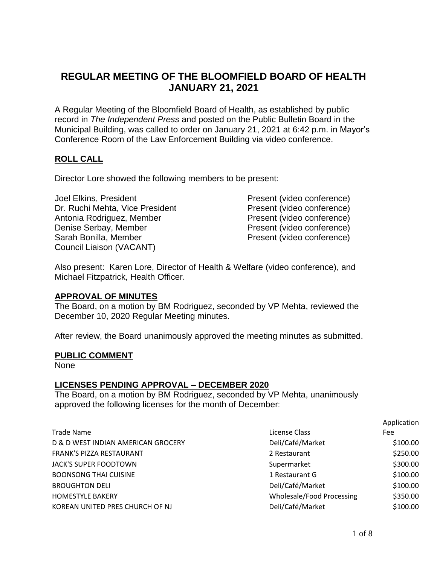# **REGULAR MEETING OF THE BLOOMFIELD BOARD OF HEALTH JANUARY 21, 2021**

A Regular Meeting of the Bloomfield Board of Health, as established by public record in *The Independent Press* and posted on the Public Bulletin Board in the Municipal Building, was called to order on January 21, 2021 at 6:42 p.m. in Mayor's Conference Room of the Law Enforcement Building via video conference.

# **ROLL CALL**

Director Lore showed the following members to be present:

Joel Elkins, President Present (video conference) Dr. Ruchi Mehta, Vice President Present (video conference) Antonia Rodriguez, Member Present (video conference) Denise Serbay, Member Present (video conference) Sarah Bonilla, Member **Present (video conference)** Council Liaison (VACANT)

Also present: Karen Lore, Director of Health & Welfare (video conference), and Michael Fitzpatrick, Health Officer.

# **APPROVAL OF MINUTES**

The Board, on a motion by BM Rodriguez, seconded by VP Mehta, reviewed the December 10, 2020 Regular Meeting minutes.

After review, the Board unanimously approved the meeting minutes as submitted.

### **PUBLIC COMMENT**

None

### **LICENSES PENDING APPROVAL – DECEMBER 2020**

The Board, on a motion by BM Rodriguez, seconded by VP Mehta, unanimously approved the following licenses for the month of December:

|                                    |                           | Application |
|------------------------------------|---------------------------|-------------|
| <b>Trade Name</b>                  | License Class             | Fee         |
| D & D WEST INDIAN AMERICAN GROCERY | Deli/Café/Market          | \$100.00    |
| FRANK'S PIZZA RESTAURANT           | 2 Restaurant              | \$250.00    |
| JACK'S SUPER FOODTOWN              | Supermarket               | \$300.00    |
| <b>BOONSONG THAI CUISINE</b>       | 1 Restaurant G            | \$100.00    |
| <b>BROUGHTON DELI</b>              | Deli/Café/Market          | \$100.00    |
| <b>HOMESTYLE BAKERY</b>            | Wholesale/Food Processing | \$350.00    |
| KOREAN UNITED PRES CHURCH OF NJ    | Deli/Café/Market          | \$100.00    |

Application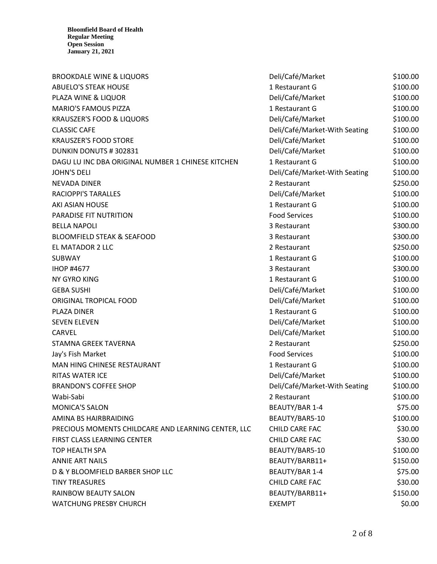| <b>BROOKDALE WINE &amp; LIQUORS</b>                 | Deli/Café/Market              | \$100.00 |
|-----------------------------------------------------|-------------------------------|----------|
| <b>ABUELO'S STEAK HOUSE</b>                         | 1 Restaurant G                | \$100.00 |
| PLAZA WINE & LIQUOR                                 | Deli/Café/Market              | \$100.00 |
| <b>MARIO'S FAMOUS PIZZA</b>                         | 1 Restaurant G                | \$100.00 |
| <b>KRAUSZER'S FOOD &amp; LIQUORS</b>                | Deli/Café/Market              | \$100.00 |
| <b>CLASSIC CAFE</b>                                 | Deli/Café/Market-With Seating | \$100.00 |
| <b>KRAUSZER'S FOOD STORE</b>                        | Deli/Café/Market              | \$100.00 |
| DUNKIN DONUTS #302831                               | Deli/Café/Market              | \$100.00 |
| DAGU LU INC DBA ORIGINAL NUMBER 1 CHINESE KITCHEN   | 1 Restaurant G                | \$100.00 |
| <b>JOHN'S DELI</b>                                  | Deli/Café/Market-With Seating | \$100.00 |
| NEVADA DINER                                        | 2 Restaurant                  | \$250.00 |
| <b>RACIOPPI'S TARALLES</b>                          | Deli/Café/Market              | \$100.00 |
| AKI ASIAN HOUSE                                     | 1 Restaurant G                | \$100.00 |
| PARADISE FIT NUTRITION                              | <b>Food Services</b>          | \$100.00 |
| <b>BELLA NAPOLI</b>                                 | 3 Restaurant                  | \$300.00 |
| <b>BLOOMFIELD STEAK &amp; SEAFOOD</b>               | 3 Restaurant                  | \$300.00 |
| EL MATADOR 2 LLC                                    | 2 Restaurant                  | \$250.00 |
| <b>SUBWAY</b>                                       | 1 Restaurant G                | \$100.00 |
| <b>IHOP #4677</b>                                   | 3 Restaurant                  | \$300.00 |
| NY GYRO KING                                        | 1 Restaurant G                | \$100.00 |
| <b>GEBA SUSHI</b>                                   | Deli/Café/Market              | \$100.00 |
| ORIGINAL TROPICAL FOOD                              | Deli/Café/Market              | \$100.00 |
| PLAZA DINER                                         | 1 Restaurant G                | \$100.00 |
| <b>SEVEN ELEVEN</b>                                 | Deli/Café/Market              | \$100.00 |
| <b>CARVEL</b>                                       | Deli/Café/Market              | \$100.00 |
| STAMNA GREEK TAVERNA                                | 2 Restaurant                  | \$250.00 |
| Jay's Fish Market                                   | <b>Food Services</b>          | \$100.00 |
| MAN HING CHINESE RESTAURANT                         | 1 Restaurant G                | \$100.00 |
| <b>RITAS WATER ICE</b>                              | Deli/Café/Market              | \$100.00 |
| <b>BRANDON'S COFFEE SHOP</b>                        | Deli/Café/Market-With Seating | \$100.00 |
| Wabi-Sabi                                           | 2 Restaurant                  | \$100.00 |
| <b>MONICA'S SALON</b>                               | <b>BEAUTY/BAR 1-4</b>         | \$75.00  |
| AMINA BS HAIRBRAIDING                               | BEAUTY/BAR5-10                | \$100.00 |
| PRECIOUS MOMENTS CHILDCARE AND LEARNING CENTER, LLC | CHILD CARE FAC                | \$30.00  |
| FIRST CLASS LEARNING CENTER                         | CHILD CARE FAC                | \$30.00  |
| <b>TOP HEALTH SPA</b>                               | BEAUTY/BAR5-10                | \$100.00 |
| <b>ANNIE ART NAILS</b>                              | BEAUTY/BARB11+                | \$150.00 |
| D & Y BLOOMFIELD BARBER SHOP LLC                    | <b>BEAUTY/BAR 1-4</b>         | \$75.00  |
| <b>TINY TREASURES</b>                               | CHILD CARE FAC                | \$30.00  |
| RAINBOW BEAUTY SALON                                | BEAUTY/BARB11+                | \$150.00 |
| <b>WATCHUNG PRESBY CHURCH</b>                       | <b>EXEMPT</b>                 | \$0.00   |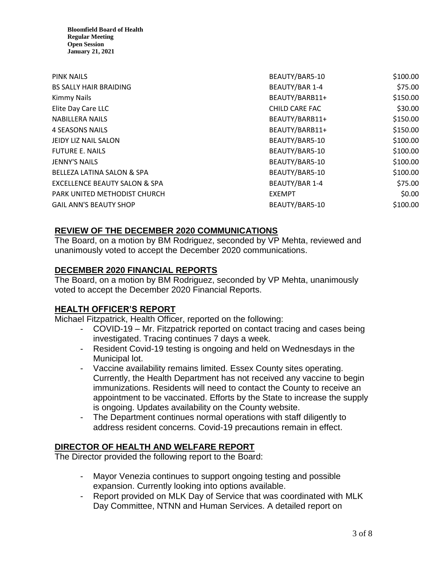| <b>PINK NAILS</b>                        | BEAUTY/BAR5-10        | \$100.00 |
|------------------------------------------|-----------------------|----------|
| <b>BS SALLY HAIR BRAIDING</b>            | <b>BEAUTY/BAR 1-4</b> | \$75.00  |
| <b>Kimmy Nails</b>                       | BEAUTY/BARB11+        | \$150.00 |
| Elite Day Care LLC                       | CHILD CARE FAC        | \$30.00  |
| <b>NABILLERA NAILS</b>                   | BEAUTY/BARB11+        | \$150.00 |
| <b>4 SEASONS NAILS</b>                   | BEAUTY/BARB11+        | \$150.00 |
| JEIDY LIZ NAIL SALON                     | BEAUTY/BAR5-10        | \$100.00 |
| <b>FUTURE E. NAILS</b>                   | BEAUTY/BAR5-10        | \$100.00 |
| <b>JENNY'S NAILS</b>                     | BEAUTY/BAR5-10        | \$100.00 |
| <b>BELLEZA LATINA SALON &amp; SPA</b>    | BEAUTY/BAR5-10        | \$100.00 |
| <b>EXCELLENCE BEAUTY SALON &amp; SPA</b> | <b>BEAUTY/BAR 1-4</b> | \$75.00  |
| PARK UNITED METHODIST CHURCH             | <b>EXEMPT</b>         | \$0.00   |
| <b>GAIL ANN'S BEAUTY SHOP</b>            | BEAUTY/BAR5-10        | \$100.00 |

# **REVIEW OF THE DECEMBER 2020 COMMUNICATIONS**

The Board, on a motion by BM Rodriguez, seconded by VP Mehta, reviewed and unanimously voted to accept the December 2020 communications.

# **DECEMBER 2020 FINANCIAL REPORTS**

The Board, on a motion by BM Rodriguez, seconded by VP Mehta, unanimously voted to accept the December 2020 Financial Reports.

# **HEALTH OFFICER'S REPORT**

Michael Fitzpatrick, Health Officer, reported on the following:

- COVID-19 Mr. Fitzpatrick reported on contact tracing and cases being investigated. Tracing continues 7 days a week.
- Resident Covid-19 testing is ongoing and held on Wednesdays in the Municipal lot.
- Vaccine availability remains limited. Essex County sites operating. Currently, the Health Department has not received any vaccine to begin immunizations. Residents will need to contact the County to receive an appointment to be vaccinated. Efforts by the State to increase the supply is ongoing. Updates availability on the County website.
- The Department continues normal operations with staff diligently to address resident concerns. Covid-19 precautions remain in effect.

# **DIRECTOR OF HEALTH AND WELFARE REPORT**

The Director provided the following report to the Board:

- Mayor Venezia continues to support ongoing testing and possible expansion. Currently looking into options available.
- Report provided on MLK Day of Service that was coordinated with MLK Day Committee, NTNN and Human Services. A detailed report on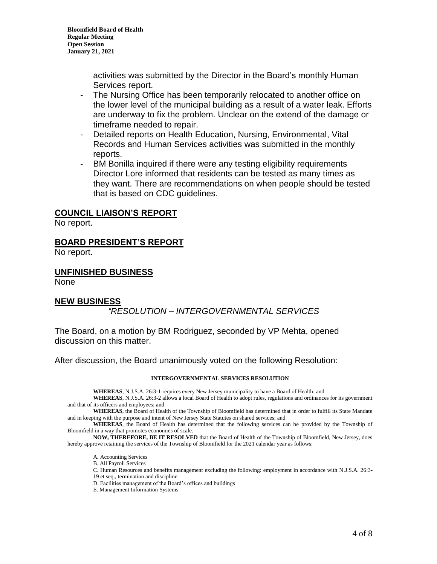> activities was submitted by the Director in the Board's monthly Human Services report.

- The Nursing Office has been temporarily relocated to another office on the lower level of the municipal building as a result of a water leak. Efforts are underway to fix the problem. Unclear on the extend of the damage or timeframe needed to repair.
- Detailed reports on Health Education, Nursing, Environmental, Vital Records and Human Services activities was submitted in the monthly reports.
- BM Bonilla inquired if there were any testing eligibility requirements Director Lore informed that residents can be tested as many times as they want. There are recommendations on when people should be tested that is based on CDC guidelines.

## **COUNCIL LIAISON'S REPORT**

No report.

### **BOARD PRESIDENT'S REPORT**

No report.

#### **UNFINISHED BUSINESS**

None

### **NEW BUSINESS**

# *"RESOLUTION – INTERGOVERNMENTAL SERVICES*

The Board, on a motion by BM Rodriguez, seconded by VP Mehta, opened discussion on this matter.

After discussion, the Board unanimously voted on the following Resolution:

#### **INTERGOVERNMENTAL SERVICES RESOLUTION**

**WHEREAS**, N.J.S.A. 26:3-1 requires every New Jersey municipality to have a Board of Health; and

**WHEREAS**, N.J.S.A. 26:3-2 allows a local Board of Health to adopt rules, regulations and ordinances for its government and that of its officers and employees; and

**WHEREAS**, the Board of Health of the Township of Bloomfield has determined that in order to fulfill its State Mandate and in keeping with the purpose and intent of New Jersey State Statutes on shared services; and

**WHEREAS**, the Board of Health has determined that the following services can be provided by the Township of Bloomfield in a way that promotes economies of scale.

**NOW, THEREFORE, BE IT RESOLVED** that the Board of Health of the Township of Bloomfield, New Jersey, does hereby approve retaining the services of the Township of Bloomfield for the 2021 calendar year as follows:

- A. Accounting Services
- B. All Payroll Services
- C. Human Resources and benefits management excluding the following: employment in accordance with N.J.S.A. 26:3-
- 19 et seq., termination and discipline
- D. Facilities management of the Board's offices and buildings
- E. Management Information Systems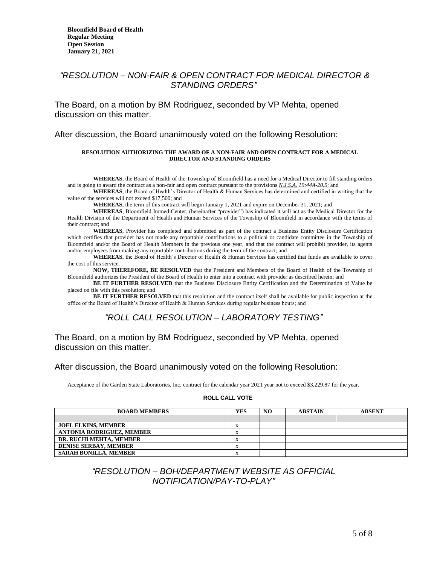### *"RESOLUTION – NON-FAIR & OPEN CONTRACT FOR MEDICAL DIRECTOR & STANDING ORDERS"*

The Board, on a motion by BM Rodriguez, seconded by VP Mehta, opened discussion on this matter.

After discussion, the Board unanimously voted on the following Resolution:

#### **RESOLUTION AUTHORIZING THE AWARD OF A NON-FAIR AND OPEN CONTRACT FOR A MEDICAL DIRECTOR AND STANDING ORDERS**

**WHEREAS**, the Board of Health of the Township of Bloomfield has a need for a Medical Director to fill standing orders and is going to award the contract as a non-fair and open contract pursuant to the provisions *N.J.S.A. 19:44A-20.5*; and

**WHEREAS**, the Board of Health's Director of Health & Human Services has determined and certified in writing that the value of the services will not exceed \$17,500; and

**WHEREAS**, the term of this contract will begin January 1, 2021 and expire on December 31, 2021; and

**WHEREAS**, Bloomfield ImmediCenter. (hereinafter "provider") has indicated it will act as the Medical Director for the Health Division of the Department of Health and Human Services of the Township of Bloomfield in accordance with the terms of their contract; and

**WHEREAS**, Provider has completed and submitted as part of the contract a Business Entity Disclosure Certification which certifies that provider has not made any reportable contributions to a political or candidate committee in the Township of Bloomfield and/or the Board of Health Members in the previous one year, and that the contract will prohibit provider, its agents and/or employees from making any reportable contributions during the term of the contract; and

WHEREAS, the Board of Health's Director of Health & Human Services has certified that funds are available to cover the cost of this service.

**NOW, THEREFORE, BE RESOLVED** that the President and Members of the Board of Health of the Township of Bloomfield authorizes the President of the Board of Health to enter into a contract with provider as described herein; and

**BE IT FURTHER RESOLVED** that the Business Disclosure Entity Certification and the Determination of Value be placed on file with this resolution; and

**BE IT FURTHER RESOLVED** that this resolution and the contract itself shall be available for public inspection at the office of the Board of Health's Director of Health & Human Services during regular business hours; and

### *"ROLL CALL RESOLUTION – LABORATORY TESTING"*

### The Board, on a motion by BM Rodriguez, seconded by VP Mehta, opened discussion on this matter.

#### After discussion, the Board unanimously voted on the following Resolution:

Acceptance of the Garden State Laboratories, Inc. contract for the calendar year 2021 year not to exceed \$3,229.87 for the year.

#### **ROLL CALL VOTE**

| <b>BOARD MEMBERS</b>             | YES | NO. | <b>ABSTAIN</b> | <b>ABSENT</b> |
|----------------------------------|-----|-----|----------------|---------------|
|                                  |     |     |                |               |
| <b>JOEL ELKINS, MEMBER</b>       |     |     |                |               |
| <b>ANTONIA RODRIGUEZ, MEMBER</b> |     |     |                |               |
| DR. RUCHI MEHTA. MEMBER          |     |     |                |               |
| <b>DENISE SERBAY, MEMBER</b>     |     |     |                |               |
| <b>SARAH BONILLA, MEMBER</b>     |     |     |                |               |

### *"RESOLUTION – BOH/DEPARTMENT WEBSITE AS OFFICIAL NOTIFICATION/PAY-TO-PLAY"*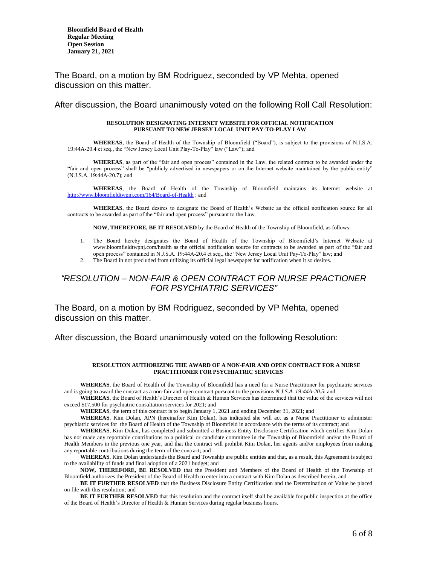The Board, on a motion by BM Rodriguez, seconded by VP Mehta, opened discussion on this matter.

After discussion, the Board unanimously voted on the following Roll Call Resolution:

#### **RESOLUTION DESIGNATING INTERNET WEBSITE FOR OFFICIAL NOTIFICATION PURSUANT TO NEW JERSEY LOCAL UNIT PAY-TO-PLAY LAW**

**WHEREAS**, the Board of Health of the Township of Bloomfield ("Board"), is subject to the provisions of N.J.S.A. 19:44A-20.4 et seq., the "New Jersey Local Unit Play-To-Play" law ("Law"); and

**WHEREAS**, as part of the "fair and open process" contained in the Law, the related contract to be awarded under the "fair and open process" shall be "publicly advertised in newspapers or on the Internet website maintained by the public entity" (N.J.S.A. 19:44A-20.7); and

**WHEREAS**, the Board of Health of the Township of Bloomfield maintains its Internet website at <http://www.bloomfieldtwpnj.com/164/Board-of-Health> ; and

**WHEREAS**, the Board desires to designate the Board of Health's Website as the official notification source for all contracts to be awarded as part of the "fair and open process" pursuant to the Law.

**NOW, THEREFORE, BE IT RESOLVED** by the Board of Health of the Township of Bloomfield, as follows:

- 1. The Board hereby designates the Board of Health of the Township of Bloomfield's Internet Website at www.bloomfieldtwpnj.com/health as the official notification source for contracts to be awarded as part of the "fair and open process" contained in N.J.S.A. 19:44A-20.4 et seq., the "New Jersey Local Unit Pay-To-Play" law; and
- 2. The Board in not precluded from utilizing its official legal newspaper for notification when it so desires.

### *"RESOLUTION – NON-FAIR & OPEN CONTRACT FOR NURSE PRACTIONER FOR PSYCHIATRIC SERVICES"*

The Board, on a motion by BM Rodriguez, seconded by VP Mehta, opened discussion on this matter.

After discussion, the Board unanimously voted on the following Resolution:

#### **RESOLUTION AUTHORIZING THE AWARD OF A NON-FAIR AND OPEN CONTRACT FOR A NURSE PRACTITIONER FOR PSYCHIATRIC SERVICES**

**WHEREAS**, the Board of Health of the Township of Bloomfield has a need for a Nurse Practitioner for psychiatric services and is going to award the contract as a non-fair and open contract pursuant to the provisions *N.J.S.A. 19:44A-20.5*; and

**WHEREAS**, the Board of Health's Director of Health & Human Services has determined that the value of the services will not exceed \$17,500 for psychiatric consultation services for 2021; and

**WHEREAS**, the term of this contract is to begin January 1, 2021 and ending December 31, 2021; and

**WHEREAS**, Kim Dolan, APN (hereinafter Kim Dolan), has indicated she will act as a Nurse Practitioner to administer psychiatric services for the Board of Health of the Township of Bloomfield in accordance with the terms of its contract; and

**WHEREAS**, Kim Dolan, has completed and submitted a Business Entity Disclosure Certification which certifies Kim Dolan has not made any reportable contributions to a political or candidate committee in the Township of Bloomfield and/or the Board of Health Members in the previous one year, and that the contract will prohibit Kim Dolan, her agents and/or employees from making any reportable contributions during the term of the contract; and

**WHEREAS**, Kim Dolan understands the Board and Township are public entities and that, as a result, this Agreement is subject to the availability of funds and final adoption of a 2021 budget; and

**NOW, THEREFORE, BE RESOLVED** that the President and Members of the Board of Health of the Township of Bloomfield authorizes the President of the Board of Health to enter into a contract with Kim Dolan as described herein; and

**BE IT FURTHER RESOLVED** that the Business Disclosure Entity Certification and the Determination of Value be placed on file with this resolution; and

**BE IT FURTHER RESOLVED** that this resolution and the contract itself shall be available for public inspection at the office of the Board of Health's Director of Health & Human Services during regular business hours.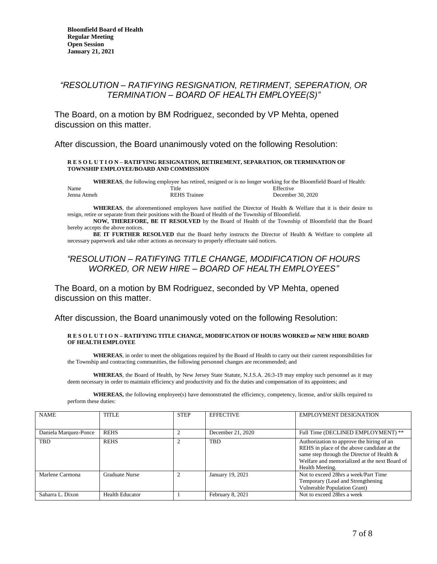## *"RESOLUTION – RATIFYING RESIGNATION, RETIRMENT, SEPERATION, OR TERMINATION – BOARD OF HEALTH EMPLOYEE(S)"*

The Board, on a motion by BM Rodriguez, seconded by VP Mehta, opened discussion on this matter.

After discussion, the Board unanimously voted on the following Resolution:

#### **R E S O L U T I O N – RATIFYING RESIGNATION, RETIREMENT, SEPARATION, OR TERMINATION OF TOWNSHIP EMPLOYEE/BOARD AND COMMISSION**

**WHEREAS**, the following employee has retired, resigned or is no longer working for the Bloomfield Board of Health: Name Effective Contract Title Contract Title Effective Effective Jenna Atmeh REHS Trainee December 30, 2020

**WHEREAS**, the aforementioned employees have notified the Director of Health & Welfare that it is their desire to resign, retire or separate from their positions with the Board of Health of the Township of Bloomfield.

**NOW, THEREFORE, BE IT RESOLVED** by the Board of Health of the Township of Bloomfield that the Board hereby accepts the above notices.

**BE IT FURTHER RESOLVED** that the Board herby instructs the Director of Health & Welfare to complete all necessary paperwork and take other actions as necessary to properly effectuate said notices.

### *"RESOLUTION – RATIFYING TITLE CHANGE, MODIFICATION OF HOURS WORKED, OR NEW HIRE – BOARD OF HEALTH EMPLOYEES"*

The Board, on a motion by BM Rodriguez, seconded by VP Mehta, opened discussion on this matter.

After discussion, the Board unanimously voted on the following Resolution:

#### **R E S O L U T I O N – RATIFYING TITLE CHANGE, MODIFICATION OF HOURS WORKED or NEW HIRE BOARD OF HEALTH EMPLOYEE**

**WHEREAS**, in order to meet the obligations required by the Board of Health to carry out their current responsibilities for the Township and contracting communities, the following personnel changes are recommended; and

**WHEREAS**, the Board of Health, by New Jersey State Statute, N.J.S.A. 26:3-19 may employ such personnel as it may deem necessary in order to maintain efficiency and productivity and fix the duties and compensation of its appointees; and

**WHEREAS,** the following employee(s) have demonstrated the efficiency, competency, license, and/or skills required to perform these duties:

| <b>NAME</b>           | <b>TITLE</b>           | <b>STEP</b>    | <b>EFFECTIVE</b>  | <b>EMPLOYMENT DESIGNATION</b>                                                                                                                                                                              |
|-----------------------|------------------------|----------------|-------------------|------------------------------------------------------------------------------------------------------------------------------------------------------------------------------------------------------------|
|                       |                        |                |                   |                                                                                                                                                                                                            |
| Daniela Marquez-Ponce | <b>REHS</b>            | $\overline{2}$ | December 21, 2020 | Full Time (DECLINED EMPLOYMENT) **                                                                                                                                                                         |
| <b>TBD</b>            | <b>REHS</b>            | $\overline{c}$ | <b>TBD</b>        | Authorization to approve the hiring of an<br>REHS in place of the above candidate at the<br>same step through the Director of Health &<br>Welfare and memorialized at the next Board of<br>Health Meeting. |
| Marlene Carmona       | <b>Graduate Nurse</b>  | $\overline{c}$ | January 19, 2021  | Not to exceed 28hrs a week/Part Time<br>Temporary (Lead and Strengthening)<br>Vulnerable Population Grant)                                                                                                 |
| Saharra L. Dixon      | <b>Health Educator</b> |                | February 8, 2021  | Not to exceed 28hrs a week                                                                                                                                                                                 |